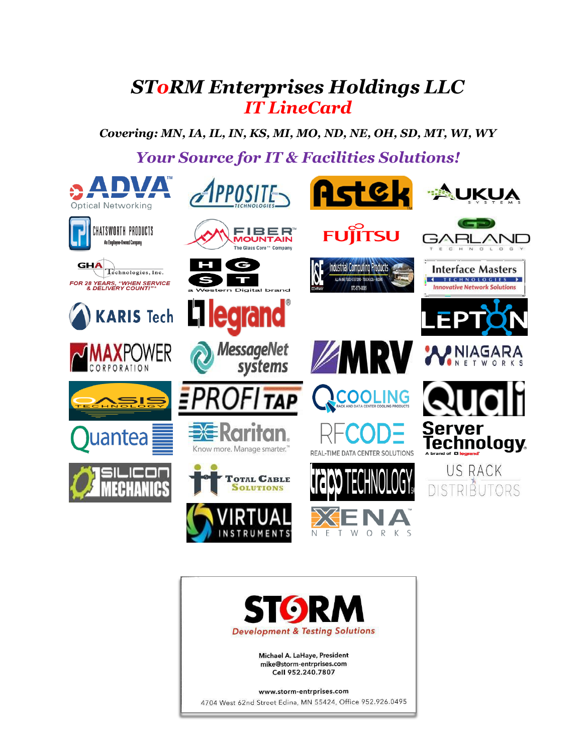### *SToRM Enterprises Holdings LLC IT LineCard*

*Covering: MN, IA, IL, IN, KS, MI, MO, ND, NE, OH, SD, MT, WI, WY*

*Your Source for IT & Facilities Solutions!*



Michael A. LaHaye, President mike@storm-entrprises.com Cell 952.240.7807

www.storm-entrprises.com

4704 West 62nd Street Edina, MN 55424, Office 952.926.0495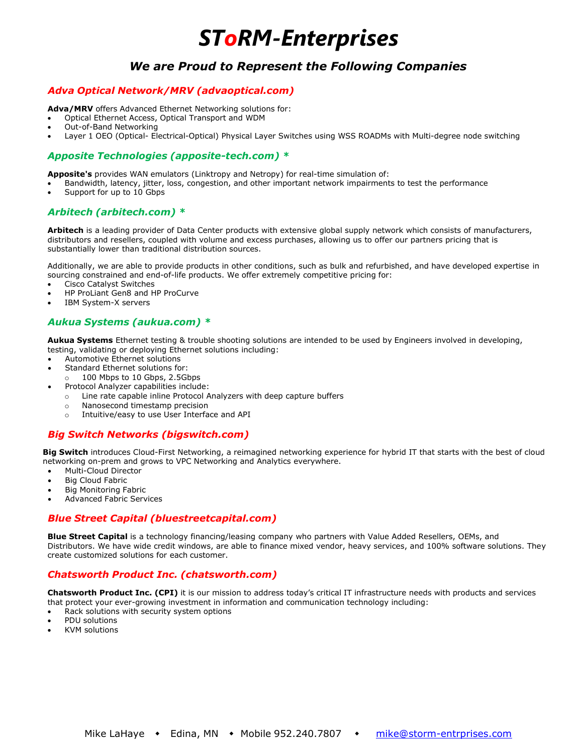### *We are Proud to Represent the Following Companies*

#### *Adva Optical Network/MRV [\(advaoptical.com\)](https://www.advaoptical.com/)*

**Adva/MRV** offers Advanced Ethernet Networking solutions for:

- Optical Ethernet Access, Optical Transport and WDM
- Out-of-Band Networking
- Layer 1 OEO (Optical- Electrical-Optical) Physical Layer Switches using WSS ROADMs with Multi-degree node switching

#### *Apposite Technologies (apposite-tech.com) \**

**Apposite's** provides WAN emulators (Linktropy and Netropy) for real-time simulation of:

- Bandwidth, latency, jitter, loss, congestion, and other important network impairments to test the performance
- Support for up to 10 Gbps

#### *Arbitech [\(arbitech.com\)](http://www.arbitech.com/) \**

**Arbitech** is a leading provider of Data Center products with extensive global supply network which consists of manufacturers, distributors and resellers, coupled with volume and excess purchases, allowing us to offer our partners pricing that is substantially lower than traditional distribution sources.

Additionally, we are able to provide products in other conditions, such as bulk and refurbished, and have developed expertise in sourcing constrained and end-of-life products. We offer extremely competitive pricing for:

- Cisco Catalyst Switches
- HP ProLiant Gen8 and HP ProCurve
- IBM System-X servers

#### *Aukua Systems [\(aukua.com\)](http://www.aukua.com/) \**

**Aukua Systems** Ethernet testing & trouble shooting solutions are intended to be used by Engineers involved in developing, testing, validating or deploying Ethernet solutions including:

- Automotive Ethernet solutions
- Standard Ethernet solutions for:
	- o 100 Mbps to 10 Gbps, 2.5Gbps
- Protocol Analyzer capabilities include:
	- o Line rate capable inline Protocol Analyzers with deep capture buffers
	- o Nanosecond timestamp precision
	- o Intuitive/easy to use User Interface and API

#### *Big Switch Networks [\(bigswitch.com\)](https://www.bigswitch.com/)*

**Big Switch** introduces Cloud-First Networking, a reimagined networking experience for hybrid IT that starts with the best of cloud networking on-prem and grows to VPC Networking and Analytics everywhere.

- Multi-Cloud Director
- **Big Cloud Fabric**
- Big Monitoring Fabric
- Advanced Fabric Services

#### *Blue Street Capital [\(bluestreetcapital.com\)](http://www.bluestreetcapital.com/)*

**Blue Street Capital** is a technology financing/leasing company who partners with Value Added Resellers, OEMs, and Distributors. We have wide credit windows, are able to finance mixed vendor, heavy services, and 100% software solutions. They create customized solutions for each customer.

#### *Chatsworth Product Inc. [\(chatsworth.com\)](http://www.chatsworth.com/)*

**Chatsworth Product Inc. (CPI)** it is our mission to address today's critical IT infrastructure needs with products and services that protect your ever-growing investment in information and communication technology including:

- Rack solutions with security system options
- PDU solutions
- KVM solutions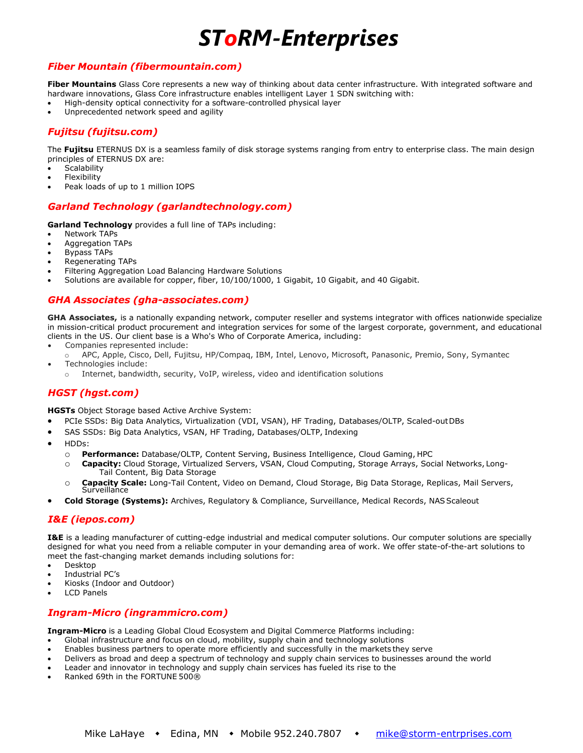#### *Fiber Mountain [\(fibermountain.com\)](http://www.fibermountain.com/)*

**Fiber Mountains** Glass Core represents a new way of thinking about data center infrastructure. With integrated software and hardware innovations, Glass Core infrastructure enables intelligent Layer 1 SDN switching with:

- High-density optical connectivity for a software-controlled physical layer
- Unprecedented network speed and agility

#### *Fujitsu [\(fujitsu.com\)](http://www.fujitsu.com/)*

The **Fujitsu** ETERNUS DX is a seamless family of disk storage systems ranging from entry to enterprise class. The main design principles of ETERNUS DX are:

- **Scalability**
- **Flexibility**
- Peak loads of up to 1 million IOPS

#### *Garland Technology [\(garlandtechnology.com\)](http://www.garlandtechnology.com/)*

**Garland Technology** provides a full line of TAPs including:

- **Network TAPs**
- Aggregation TAPs
- Bypass TAPs
- Regenerating TAPs
- Filtering Aggregation Load Balancing Hardware Solutions
- Solutions are available for copper, fiber, 10/100/1000, 1 Gigabit, 10 Gigabit, and 40 Gigabit.

#### *GHA Associates [\(gha-associates.com\)](http://www.gha-associates.com/)*

**GHA Associates,** is a nationally expanding network, computer reseller and systems integrator with offices nationwide specialize in mission-critical product procurement and integration services for some of the largest corporate, government, and educational clients in the US. Our client base is a Who's Who of Corporate America, including:

- Companies represented include:
- APC, Apple, Cisco, Dell, Fujitsu, HP/Compaq, IBM, Intel, Lenovo, Microsoft, Panasonic, Premio, Sony, Symantec • Technologies include:
- o Internet, bandwidth, security, VoIP, wireless, video and identification solutions

#### *HGST [\(hgst.com\)](http://www.hgst.com/)*

**HGSTs** Object Storage based Active Archive System:

- PCIe SSDs: Big Data Analytics, Virtualization (VDI, VSAN), HF Trading, Databases/OLTP, Scaled-outDBs
- SAS SSDs: Big Data Analytics, VSAN, HF Trading, Databases/OLTP, Indexing
- HDDs:
	- o **Performance:** Database/OLTP, Content Serving, Business Intelligence, Cloud Gaming, HPC
	- o **Capacity:** Cloud Storage, Virtualized Servers, VSAN, Cloud Computing, Storage Arrays, Social Networks, Long-Tail Content, Big Data Storage
	- o **Capacity Scale:** Long-Tail Content, Video on Demand, Cloud Storage, Big Data Storage, Replicas, Mail Servers, **Surveillance**
- **Cold Storage (Systems):** Archives, Regulatory & Compliance, Surveillance, Medical Records, NASScaleout

#### *I&E [\(iepos.com\)](http://www.iepos.com/)*

**I&E** is a leading manufacturer of cutting-edge industrial and medical computer solutions. Our computer solutions are specially designed for what you need from a reliable computer in your demanding area of work. We offer state-of-the-art solutions to meet the fast-changing market demands including solutions for:

- Desktop
- Industrial PC's
- Kiosks (Indoor and Outdoor)
- **LCD Panels**

#### *Ingram-Micro [\(ingrammicro.com\)](http://www.ingrammicro.com/)*

**Ingram-Micro** is a Leading Global Cloud Ecosystem and Digital Commerce Platforms including:

- Global infrastructure and focus on cloud, mobility, supply chain and technology solutions
- Enables business partners to operate more efficiently and successfully in the markets they serve
- Delivers as broad and deep a spectrum of technology and supply chain services to businesses around the world
- Leader and innovator in technology and supply chain services has fueled its rise to the
- Ranked 69th in the FORTUNE 500®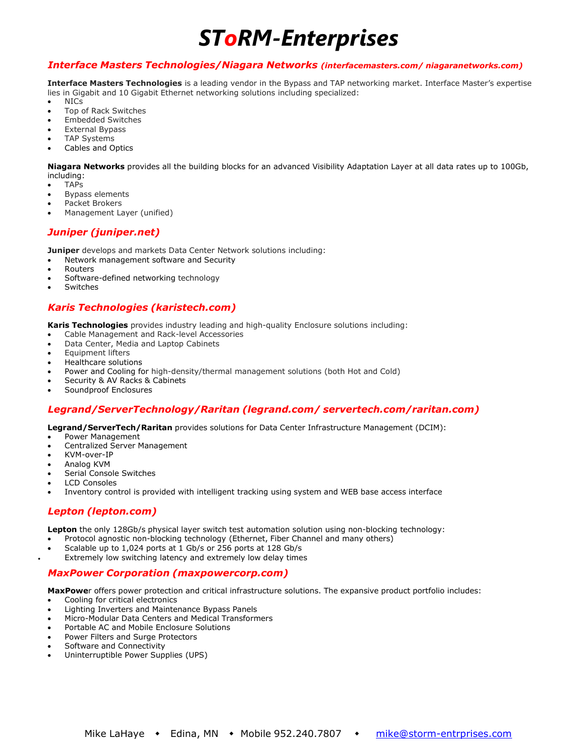#### *Interface Masters Technologies/Niagara Networks [\(interfacemasters.com/](http://interfacemasters.com/) [niagaranetworks.com\)](http://www.niagaranetworks.com/)*

**Interface Masters Technologies** is a leading vendor in the Bypass and TAP networking market. Interface Master's expertise lies in Gigabit and 10 Gigabit Ethernet networking solutions including specialized:

- NICs
- Top of Rack Switches
- Embedded Switches
- **External Bypass TAP Systems**
- Cables and Optics

**Niagara Networks** provides all the building blocks for an advanced Visibility Adaptation Layer at all data rates up to 100Gb, including:

- TAPs
- Bypass elements
- Packet Brokers
- Management Layer (unified)

#### *Juniper [\(juniper.net\)](https://www.juniper.net/us/en/)*

**Juniper** develops and markets Data Center Network solutions including:

- Network [management](https://en.wikipedia.org/wiki/Network_management) software and Security
- **[Routers](https://en.wikipedia.org/wiki/Router_(computing))**
- [Software-defined](https://en.wikipedia.org/wiki/Software-defined_networking) networking technology
- **[Switches](https://en.wikipedia.org/wiki/Network_switch)**

#### *Karis Technologies [\(karistech.com\)](http://www.karistech.com/)*

**Karis Technologies** provides industry leading and high-quality Enclosure solutions including:

- Cable Management and Rack-level Accessories
- Data Center, Media and Laptop Cabinets
- Equipment lifters
- Healthcare solutions
- Power and Cooling for high-density/thermal management solutions (both Hot and Cold)
- Security & AV Racks & Cabinets
- Soundproof Enclosures

#### *Legrand/ServerTechnology/Raritan [\(legrand.com/](https://www.legrand.com/en) [servertech.com/](https://www.servertech.com/)[raritan.com\)](https://www.raritan.com/)*

**Legrand/ServerTech/Raritan** provides solutions for Data Center Infrastructure Management (DCIM):

- Power Management
- Centralized Server Management
- KVM-over-IP
- Analog KVM
- Serial Console Switches
- LCD Consoles
- Inventory control is provided with intelligent tracking using system and WEB base access interface

#### *Lepton [\(lepton.com\)](http://www.leptonsys.com/)*

**Lepton** the only 128Gb/s physical layer switch test automation solution using non-blocking technology:

- Protocol agnostic non-blocking technology (Ethernet, Fiber Channel and many others)
- Scalable up to 1,024 ports at 1 Gb/s or 256 ports at 128 Gb/s
- Extremely low switching latency and extremely low delay times

#### *MaxPower Corporation [\(maxpowercorp.com\)](http://www.maxpowercorp.com/)*

**MaxPowe**r offers power protection and critical infrastructure solutions. The expansive product portfolio includes:

- Cooling for critical electronics
- Lighting Inverters and Maintenance Bypass Panels
- Micro-Modular Data Centers and Medical Transformers
- Portable AC and Mobile Enclosure Solutions
- Power Filters and Surge Protectors
- Software and Connectivity
- [Uninterruptible](http://www.maxpowercorp.com/ups.html) Power [Supplies](http://www.maxpowercorp.com/ups.html) (UPS)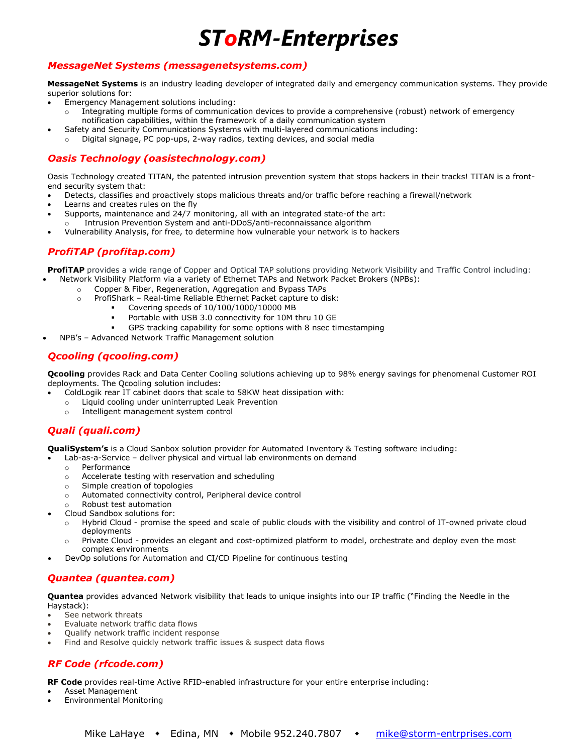### *MessageNet Systems [\(messagenetsystems.com\)](http://www.messagenetsystems.com/)*

**MessageNet Systems** is an industry leading developer of integrated daily and emergency communication systems. They provide superior solutions for:

- Emergency Management solutions including:
	- o Integrating multiple forms of communication devices to provide a comprehensive (robust) network of emergency notification capabilities, within the framework of a daily communication system
- Safety and Security Communications Systems with multi-layered communications including:
- o Digital signage, PC pop-ups, 2-way radios, texting devices, and social media

#### *Oasis Technology [\(oasistechnology.com\)](http://www.oasistechnology.com/)*

Oasis Technology created TITAN, the patented intrusion prevention system that stops hackers in their tracks! TITAN is a frontend security system that:

- Detects, classifies and proactively stops malicious threats and/or traffic before reaching a firewall/network
- Learns and creates rules on the fly
- Supports, maintenance and 24/7 monitoring, all with an integrated state-of the art:
- Intrusion Prevention System and anti-DDoS/anti-reconnaissance algorithm
- Vulnerability Analysis, for free, to determine how vulnerable your network is to hackers

#### *ProfiTAP [\(profitap.com\)](https://www.profitap.com/)*

**ProfiTAP** provides a wide range of Copper and Optical TAP solutions providing Network Visibility and Traffic Control including: • Network Visibility Platform via a variety of Ethernet TAPs and Network Packet Brokers (NPBs):

- o Copper & Fiber, Regeneration, Aggregation and Bypass TAPs
	- ProfiShark Real-time Reliable Ethernet Packet capture to disk:
		- Covering speeds of 10/100/1000/10000 MB
		- Portable with USB 3.0 connectivity for 10M thru 10 GE
		- GPS tracking capability for some options with 8 nsec timestamping
- NPB's Advanced Network Traffic Management solution

#### *Qcooling [\(qcooling.com\)](http://www.qcooling.com/)*

**Qcooling** provides Rack and Data Center Cooling solutions achieving up to 98% energy savings for phenomenal Customer ROI deployments. The Qcooling solution includes:

- ColdLogik rear IT cabinet doors that scale to 58KW heat dissipation with:
- o Liquid cooling under uninterrupted Leak Prevention
- Intelligent management system control

### *Quali [\(quali.com\)](http://www.quali.com/)*

**QualiSystem's** is a Cloud Sanbox solution provider for Automated Inventory & Testing software including:

- Lab-as-a-Service deliver physical and virtual lab environments on demand
	- o Performance
	- o Accelerate testing with reservation and scheduling
	- o Simple creation of topologies
	- o Automated connectivity control, Peripheral device control
- o Robust test automation
- Cloud Sandbox solutions for:
	- o Hybrid Cloud promise the speed and scale of public clouds with the visibility and control of IT-owned private cloud deployments
	- o Private Cloud provides an elegant and cost-optimized platform to model, orchestrate and deploy even the most complex environments
- DevOp solutions for Automation and CI/CD Pipeline for continuous testing

#### *Quantea [\(quantea.com\)](https://quantea.com/)*

**Quantea** provides advanced Network visibility that leads to unique insights into our IP traffic ("Finding the Needle in the Haystack):

- See network threats
- Evaluate network traffic data flows
- Qualify network traffic incident response
- Find and Resolve quickly network traffic issues & suspect data flows

### *RF Code [\(rfcode.com\)](http://www.rfcode.com/)*

**RF Code** provides real-time Active RFID-enabled infrastructure for your entire enterprise including:

- Asset Management
- Environmental Monitoring